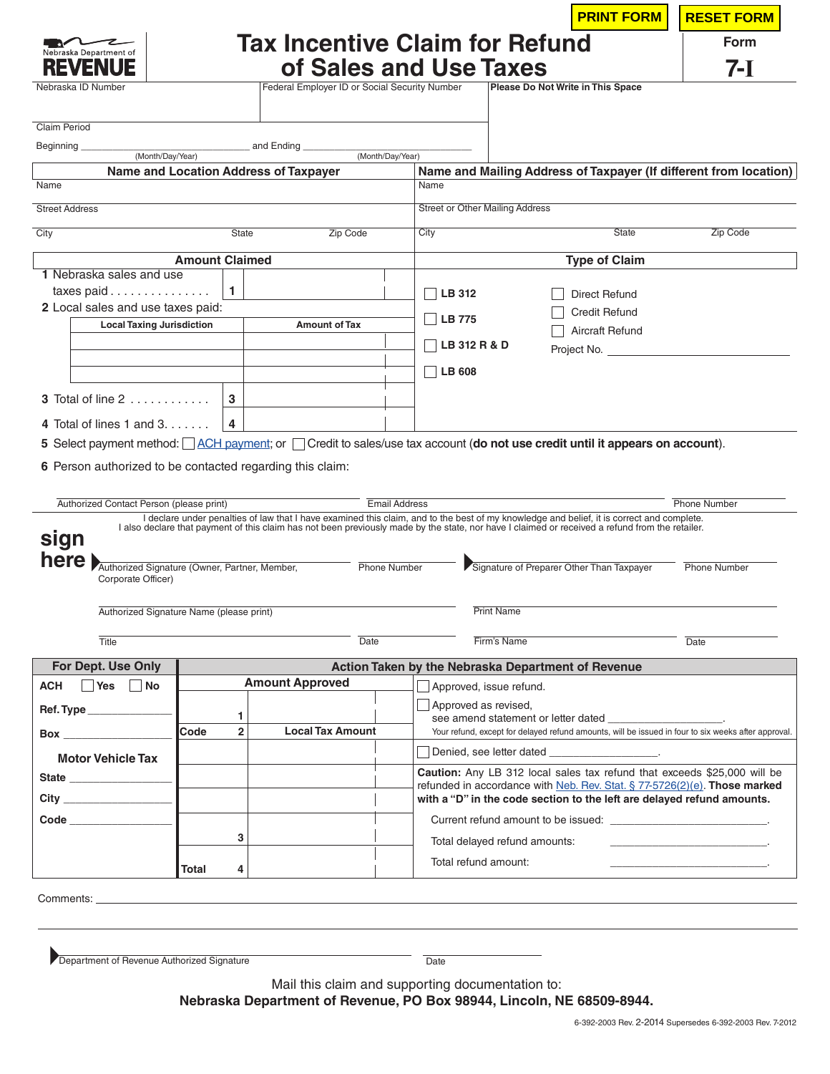|                                                                                                                                                                                                                                    |                       |                     |                                                                                                                                                                                                                                                                                              |                                                    |                                        |                                   | <b>PRINT FORM</b>                                                                                | <b>RESET FORM</b>                                                                                                                                            |
|------------------------------------------------------------------------------------------------------------------------------------------------------------------------------------------------------------------------------------|-----------------------|---------------------|----------------------------------------------------------------------------------------------------------------------------------------------------------------------------------------------------------------------------------------------------------------------------------------------|----------------------------------------------------|----------------------------------------|-----------------------------------|--------------------------------------------------------------------------------------------------|--------------------------------------------------------------------------------------------------------------------------------------------------------------|
| Nebraska Department of                                                                                                                                                                                                             |                       |                     | <b>Tax Incentive Claim for Refund</b>                                                                                                                                                                                                                                                        |                                                    |                                        |                                   |                                                                                                  | <b>Form</b>                                                                                                                                                  |
|                                                                                                                                                                                                                                    |                       |                     | of Sales and Use Taxes                                                                                                                                                                                                                                                                       |                                                    |                                        |                                   |                                                                                                  | 7-I                                                                                                                                                          |
| Nebraska ID Number                                                                                                                                                                                                                 |                       |                     | Federal Employer ID or Social Security Number                                                                                                                                                                                                                                                |                                                    |                                        | Please Do Not Write in This Space |                                                                                                  |                                                                                                                                                              |
|                                                                                                                                                                                                                                    |                       |                     |                                                                                                                                                                                                                                                                                              |                                                    |                                        |                                   |                                                                                                  |                                                                                                                                                              |
| Claim Period                                                                                                                                                                                                                       |                       |                     |                                                                                                                                                                                                                                                                                              |                                                    |                                        |                                   |                                                                                                  |                                                                                                                                                              |
| Beginning<br>(Month/Day/Year)                                                                                                                                                                                                      |                       |                     | and Ending                                                                                                                                                                                                                                                                                   | (Month/Day/Year)                                   |                                        |                                   |                                                                                                  |                                                                                                                                                              |
| Name                                                                                                                                                                                                                               |                       |                     | <b>Name and Location Address of Taxpayer</b>                                                                                                                                                                                                                                                 | Name                                               |                                        |                                   |                                                                                                  | Name and Mailing Address of Taxpayer (If different from location)                                                                                            |
| <b>Street Address</b>                                                                                                                                                                                                              |                       |                     |                                                                                                                                                                                                                                                                                              |                                                    | <b>Street or Other Mailing Address</b> |                                   |                                                                                                  |                                                                                                                                                              |
|                                                                                                                                                                                                                                    |                       |                     |                                                                                                                                                                                                                                                                                              |                                                    |                                        |                                   | <b>State</b>                                                                                     |                                                                                                                                                              |
| City                                                                                                                                                                                                                               | <b>State</b>          | Zip Code            | City                                                                                                                                                                                                                                                                                         |                                                    | Zip Code                               |                                   |                                                                                                  |                                                                                                                                                              |
| 1 Nebraska sales and use                                                                                                                                                                                                           | <b>Amount Claimed</b> |                     |                                                                                                                                                                                                                                                                                              |                                                    |                                        |                                   | <b>Type of Claim</b>                                                                             |                                                                                                                                                              |
| taxes paid $\ldots \ldots \ldots \ldots$                                                                                                                                                                                           |                       | 1                   |                                                                                                                                                                                                                                                                                              | <b>LB 312</b>                                      |                                        |                                   | Direct Refund                                                                                    |                                                                                                                                                              |
| 2 Local sales and use taxes paid:                                                                                                                                                                                                  |                       |                     |                                                                                                                                                                                                                                                                                              |                                                    |                                        |                                   | <b>Credit Refund</b>                                                                             |                                                                                                                                                              |
| <b>Local Taxing Jurisdiction</b>                                                                                                                                                                                                   |                       |                     | <b>Amount of Tax</b>                                                                                                                                                                                                                                                                         | LB 775                                             |                                        |                                   | Aircraft Refund                                                                                  |                                                                                                                                                              |
|                                                                                                                                                                                                                                    |                       |                     |                                                                                                                                                                                                                                                                                              | <b>LB 312 R &amp; D</b>                            |                                        |                                   | Project No.                                                                                      |                                                                                                                                                              |
|                                                                                                                                                                                                                                    |                       |                     |                                                                                                                                                                                                                                                                                              | $\Box$ LB 608                                      |                                        |                                   |                                                                                                  |                                                                                                                                                              |
| 3 Total of line 2                                                                                                                                                                                                                  |                       | 3                   |                                                                                                                                                                                                                                                                                              |                                                    |                                        |                                   |                                                                                                  |                                                                                                                                                              |
| 4 Total of lines 1 and $3, \ldots,$                                                                                                                                                                                                |                       | 4                   |                                                                                                                                                                                                                                                                                              |                                                    |                                        |                                   |                                                                                                  |                                                                                                                                                              |
|                                                                                                                                                                                                                                    |                       |                     |                                                                                                                                                                                                                                                                                              |                                                    |                                        |                                   |                                                                                                  |                                                                                                                                                              |
|                                                                                                                                                                                                                                    |                       |                     |                                                                                                                                                                                                                                                                                              |                                                    |                                        |                                   |                                                                                                  |                                                                                                                                                              |
| 5 Select payment method: ACH payment; or Credit to sales/use tax account (do not use credit until it appears on account).<br>6 Person authorized to be contacted regarding this claim:<br>Authorized Contact Person (please print) |                       |                     | I declare under penalties of law that I have examined this claim, and to the best of my knowledge and belief, it is correct and complete.<br>I also declare that payment of this claim has not been previously made by the state, nor have I claimed or received a refund from the retailer. | <b>Email Address</b>                               |                                        |                                   |                                                                                                  | <b>Phone Number</b>                                                                                                                                          |
|                                                                                                                                                                                                                                    |                       |                     |                                                                                                                                                                                                                                                                                              |                                                    |                                        |                                   |                                                                                                  |                                                                                                                                                              |
| sign<br>here<br>Authorized Signature (Owner, Partner, Member,<br>Corporate Officer)                                                                                                                                                |                       |                     |                                                                                                                                                                                                                                                                                              | <b>Phone Number</b>                                |                                        |                                   | Signature of Preparer Other Than Taxpayer                                                        | Phone Number                                                                                                                                                 |
| Authorized Signature Name (please print)                                                                                                                                                                                           |                       |                     |                                                                                                                                                                                                                                                                                              |                                                    | <b>Print Name</b>                      |                                   |                                                                                                  |                                                                                                                                                              |
| Title                                                                                                                                                                                                                              |                       |                     | Date                                                                                                                                                                                                                                                                                         |                                                    | Firm's Name                            |                                   |                                                                                                  | Date                                                                                                                                                         |
| For Dept. Use Only                                                                                                                                                                                                                 |                       |                     |                                                                                                                                                                                                                                                                                              | Action Taken by the Nebraska Department of Revenue |                                        |                                   |                                                                                                  |                                                                                                                                                              |
| Yes No                                                                                                                                                                                                                             |                       |                     | <b>Amount Approved</b>                                                                                                                                                                                                                                                                       |                                                    | Approved, issue refund.                |                                   |                                                                                                  |                                                                                                                                                              |
| <b>ACH</b>                                                                                                                                                                                                                         |                       |                     |                                                                                                                                                                                                                                                                                              |                                                    | $\Box$ Approved as revised,            |                                   |                                                                                                  |                                                                                                                                                              |
| <b>Box Box</b>                                                                                                                                                                                                                     | Code                  | 1<br>$\overline{2}$ | <b>Local Tax Amount</b>                                                                                                                                                                                                                                                                      |                                                    |                                        |                                   | see amend statement or letter dated <b>statement</b> or letter and the statement of letter dated | Your refund, except for delayed refund amounts, will be issued in four to six weeks after approval.                                                          |
| <b>Motor Vehicle Tax</b>                                                                                                                                                                                                           |                       |                     |                                                                                                                                                                                                                                                                                              |                                                    |                                        |                                   | Denied, see letter dated _____________________.                                                  |                                                                                                                                                              |
|                                                                                                                                                                                                                                    |                       |                     |                                                                                                                                                                                                                                                                                              |                                                    |                                        |                                   |                                                                                                  |                                                                                                                                                              |
|                                                                                                                                                                                                                                    |                       |                     |                                                                                                                                                                                                                                                                                              |                                                    |                                        |                                   |                                                                                                  | with a "D" in the code section to the left are delayed refund amounts.                                                                                       |
| City ____________________<br>Code ______________                                                                                                                                                                                   |                       |                     |                                                                                                                                                                                                                                                                                              |                                                    |                                        |                                   |                                                                                                  | <b>Caution:</b> Any LB 312 local sales tax refund that exceeds \$25,000 will be<br>refunded in accordance with Neb. Rev. Stat. § 77-5726(2)(e). Those marked |
|                                                                                                                                                                                                                                    |                       | 3                   |                                                                                                                                                                                                                                                                                              |                                                    | Total delayed refund amounts:          |                                   |                                                                                                  | the contract of the contract of the contract of the                                                                                                          |
|                                                                                                                                                                                                                                    |                       |                     |                                                                                                                                                                                                                                                                                              |                                                    | Total refund amount:                   |                                   |                                                                                                  |                                                                                                                                                              |
|                                                                                                                                                                                                                                    | Total                 | 4                   |                                                                                                                                                                                                                                                                                              |                                                    |                                        |                                   |                                                                                                  |                                                                                                                                                              |
|                                                                                                                                                                                                                                    |                       |                     |                                                                                                                                                                                                                                                                                              |                                                    |                                        |                                   |                                                                                                  |                                                                                                                                                              |

Mail this claim and supporting documentation to:

**Nebraska Department of Revenue, PO Box 98944, Lincoln, NE 68509-8944.**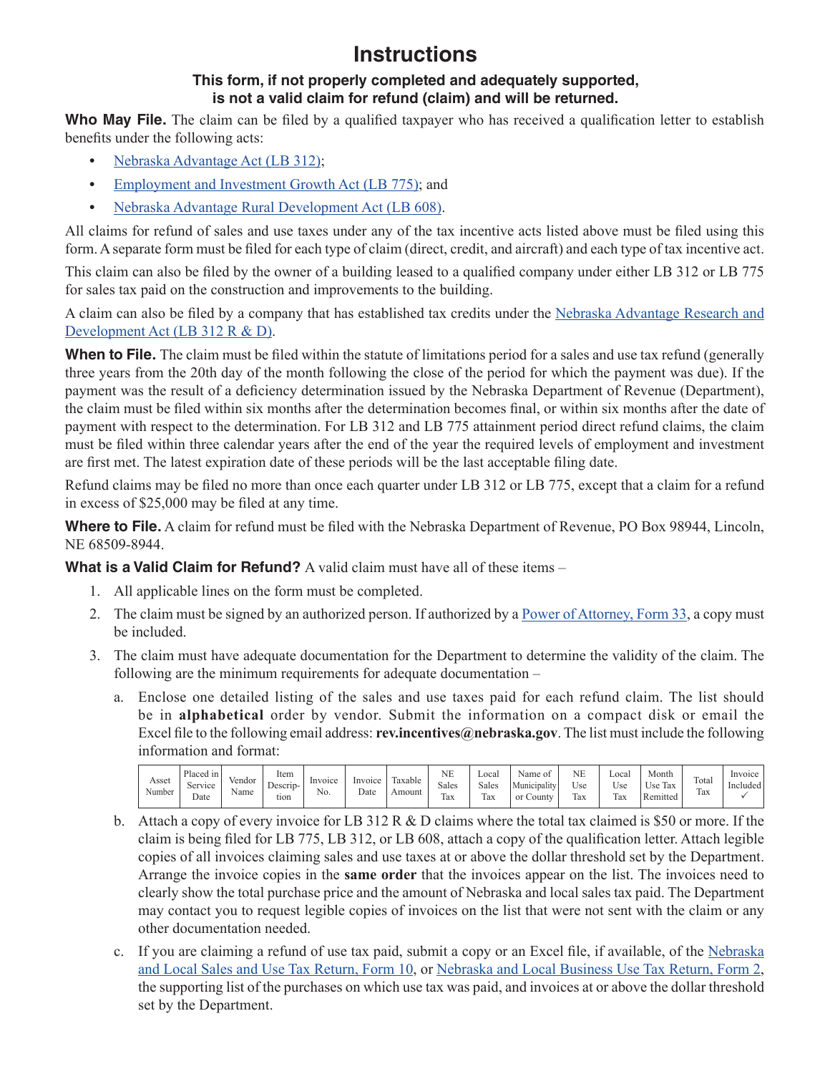## **Instructions**

## **This form, if not properly completed and adequately supported, is not a valid claim for refund (claim) and will be returned.**

Who May File. The claim can be filed by a qualified taxpayer who has received a qualification letter to establish benefits under the following acts:

- **•** [Nebraska Advantage Act \(LB](http://www.revenue.nebraska.gov/incentiv/neb_adv/312_info.html) 312);
- [Employment and Investment Growth Act \(LB 775\);](http://www.revenue.nebraska.gov/incentiv/775info/growth.html) and
- **•** [Nebraska Advantage Rural Development Act \(LB 608\)](http://www.revenue.nebraska.gov/incentiv/rural/608expand.html).

All claims for refund of sales and use taxes under any of the tax incentive acts listed above must be filed using this form. A separate form must be filed for each type of claim (direct, credit, and aircraft) and each type of tax incentive act.

This claim can also be filed by the owner of a building leased to a qualified company under either LB 312 or LB 775 for sales tax paid on the construction and improvements to the building.

A claim can also be filed by a company that has established tax credits under the Nebraska Advantage Research and [Development Act \(LB 312 R & D\)](http://www.revenue.nebraska.gov/incentiv/r_and_d/r_and_d.html).

**When to File.** The claim must be filed within the statute of limitations period for a sales and use tax refund (generally three years from the 20th day of the month following the close of the period for which the payment was due). If the payment was the result of a deficiency determination issued by the Nebraska Department of Revenue (Department), the claim must be filed within six months after the determination becomes final, or within six months after the date of payment with respect to the determination. For LB 312 and LB 775 attainment period direct refund claims, the claim must be filed within three calendar years after the end of the year the required levels of employment and investment are first met. The latest expiration date of these periods will be the last acceptable filing date.

Refund claims may be filed no more than once each quarter under LB 312 or LB 775, except that a claim for a refund in excess of \$25,000 may be filed at any time.

**Where to File.** A claim for refund must be filed with the Nebraska Department of Revenue, PO Box 98944, Lincoln, NE 68509-8944.

**What is a Valid Claim for Refund?** A valid claim must have all of these items –

- 1. All applicable lines on the form must be completed.
- 2. The claim must be signed by an authorized person. If authorized by a [Power of Attorney, Form 33,](http://www.revenue.nebraska.gov/tax/current/fill-in/f_33.pdf) a copy must be included.
- 3. The claim must have adequate documentation for the Department to determine the validity of the claim. The following are the minimum requirements for adequate documentation –
	- a. Enclose one detailed listing of the sales and use taxes paid for each refund claim. The list should be in **alphabetical** order by vendor. Submit the information on a compact disk or email the Excel file to the following email address: **rev.incentives@nebraska.gov**. The list must include the following information and format:

| Asset<br>Number | Placed in<br>$\sim$<br>Service<br>Date | vendor<br>Name | ltem<br>Descrip-<br>tıon | Invoice<br>N0. | Invoice<br>Date | $\sim$<br>laxable<br>Amount | NE<br>Sales<br>$\sim$<br>lax | Local<br>Sales<br>$\sim$<br>lax | Name of<br>$\sim$ $\sim$<br>Municipality<br><sub>or</sub><br>$\sim$ ounty | <b>NE</b><br>$ -$<br>Use<br>Tax | Local<br>Use<br>m<br>lax | Month<br><b>CONTINUES</b><br>$ -$<br>Use<br>Tax<br>Remitted | Total<br>Tax | Invoice<br>Included |
|-----------------|----------------------------------------|----------------|--------------------------|----------------|-----------------|-----------------------------|------------------------------|---------------------------------|---------------------------------------------------------------------------|---------------------------------|--------------------------|-------------------------------------------------------------|--------------|---------------------|
|-----------------|----------------------------------------|----------------|--------------------------|----------------|-----------------|-----------------------------|------------------------------|---------------------------------|---------------------------------------------------------------------------|---------------------------------|--------------------------|-------------------------------------------------------------|--------------|---------------------|

- b. Attach a copy of every invoice for LB 312 R & D claims where the total tax claimed is \$50 or more. If the claim is being filed for LB 775, LB 312, or LB 608, attach a copy of the qualification letter. Attach legible copies of all invoices claiming sales and use taxes at or above the dollar threshold set by the Department. Arrange the invoice copies in the **same order** that the invoices appear on the list. The invoices need to clearly show the total purchase price and the amount of Nebraska and local sales tax paid. The Department may contact you to request legible copies of invoices on the list that were not sent with the claim or any other documentation needed.
- c. If you are claiming a refund of use tax paid, submit a copy or an Excel file, if available, of the [Nebraska](http://www.revenue.nebraska.gov/tax/current/f_10_10-2011.pdf)  [and Local Sales and Use Tax Return, Form](http://www.revenue.nebraska.gov/tax/current/f_10_10-2011.pdf) 10, or [Nebraska and Local Business Use Tax Return, Form 2,](http://www.revenue.nebraska.gov/tax/current/fill-in/f_2.pdf)  the supporting list of the purchases on which use tax was paid, and invoices at or above the dollar threshold set by the Department.